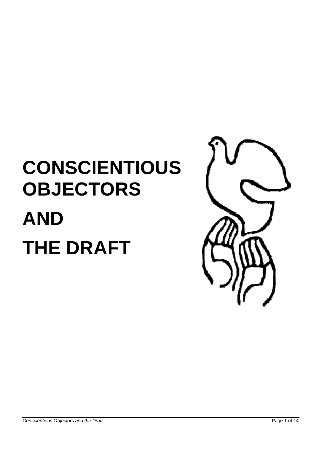# **CONSCIENTIOUS OBJECTORS AND THE DRAFT**

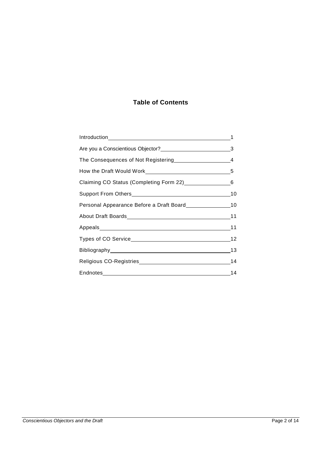## **Table of Contents**

| How the Draft Would Work Manual Allen Manual Manual Manual Manual Manual Manual Manual Manual Manual Manual Ma |
|----------------------------------------------------------------------------------------------------------------|
|                                                                                                                |
|                                                                                                                |
|                                                                                                                |
|                                                                                                                |
|                                                                                                                |
|                                                                                                                |
| Bibliography 13                                                                                                |
|                                                                                                                |
|                                                                                                                |
|                                                                                                                |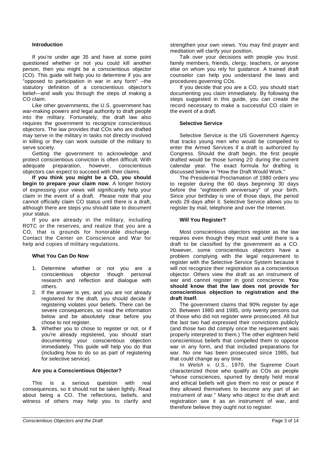#### **Introduction**

If you're under age 35 and have at some point questioned whether or not you could kill another person, then you might be a conscientious objector (CO). This guide will help you to determine if you are "opposed to participation in war in any form" –the statutory definition of a conscientious objector's belief—and walk you through the steps of making a CO claim.

Like other governments, the U.S. government has war-making powers and legal authority to draft people into the military. Fortunately, the draft law also requires the government to recognize conscientious objectors. The law provides that COs who are drafted may serve in the military in tasks not directly involved in killing or they can work outside of the military to serve society.

Getting the government to acknowledge and protect conscientious conviction is often difficult. With adequate preparation, however, conscientious objectors can expect to succeed with their claims.

**If you think you might be a CO, you should begin to prepare your claim now**. A longer history of expressing your views will significantly help your claim in the event of a draft. Please note that you cannot officially claim CO status until there is a draft, although there are steps you should take to document your status.

If you are already in the military, including R0TC or the reserves, and realize that you are a CO, that is grounds for honorable discharge. Contact the Center on Conscience and War for help and copies of military regulations.

#### **What You Can Do Now**

- 1. Determine whether or not you are a conscientious objector though personal research and reflection and dialogue with others.
- 2. If the answer is yes, and you are not already registered for the draft, you should decide if registering violates your beliefs. There can be severe consequences, so read the information below and be absolutely clear before you chose to not register.
- **3.** Whether you to chose to register or not, or if you're already registered, you should start documenting your conscientious objection immediately. This guide will help you do that (including how to do so as part of registering for selective service).

#### **Are you a Conscientious Objector?**

This is a serious question with real consequences, so it should not be taken lightly. Read about being a CO. The reflections, beliefs, and witness of others may help you to clarify and strengthen your own views. You may find prayer and meditation will clarify your position.

Talk over your decisions with people you trust: family members, friends, clergy, teachers, or anyone else on whom you rely for guidance. A trained draft counselor can help you understand the laws and procedures governing COs.

If you decide that you are a CO, you should start documenting you claim immediately. By following the steps suggested in this guide, you can create the record necessary to make a successful CO claim in the event of a draft.

#### **Selective Service**

Selective Service is the US Government Agency that tracks young men who would be compelled to enter the Armed Services if a draft is authorized by Congress. Should the draft begin, the first people drafted would be those turning 20 during the current calendar year. The exact formula for drafting is discussed below in "How the Draft Would Work."

The Presidential Proclamation of 1980 orders you to register during the 60 days beginning 30 days before the "eighteenth anniversary" of your birth. Since your birthday is one of those days, the period ends 29 days after it. Selective Service allows you to register by mail, telephone and over the Internet.

#### **Will You Register?**

Most conscientious objectors register as the law requires even though they must wait until there is a draft to be classified by the government as a CO. However, some conscientious objectors have a problem complying with the legal requirement to register with the Selective Service System because it will not recognize their registration as a conscientious objector. Others view the draft as an instrument of war and cannot register in good conscience. **You should know that the law does not provide for conscientious objection to registration and the draft itself.**

The government claims that 90% register by age 20. Between 1980 and 1985, only twenty persons out of those who did not register were prosecuted. All but the last two had expressed their convictions publicly (and those two did comply once the requirement was properly interpreted to them.) The other eighteen held conscientious beliefs that compelled them to oppose war in any form, and that included preparations for war. No one has been prosecuted since 1985, but that could change ay any time.

In Welsh v. U.S., 1970, the Supreme Court characterized those who qualify as COs as people "whose consciences, spurred by deeply held moral and ethical beliefs will give them no rest or peace if they allowed themselves to become any part of an instrument of war." Many who object to the draft and registration see it as an instrument of war, and therefore believe they ought not to register.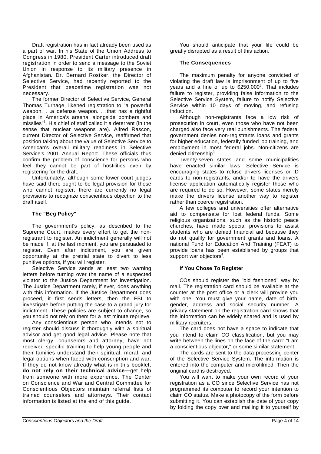Draft registration has in fact already been used as a part of war. In his State of the Union Address to Congress in 1980, President Carter introduced draft registration in order to send a message to the Soviet Union in response to its military presence in Afghanistan. Dr. Bernard Rostker, the Director of Selective Service, had recently reported to the President that peacetime registration was not necessary.

The former Director of Selective Service, General Thomas Turnage, likened registration to "a powerful weapon. . .a defense weapon. . .that has a rightful place in America's arsenal alongside bombers and missiles"<sup>1</sup>. His chief of staff called it a deterrent (in the sense that nuclear weapons are). Alfred Rascon, current Director of Selective Service, reaffirmed that position talking about the value of Selective Service to American's overall military readiness in Selective Service's 2001 Annual Report. These officials thus confirm the problem of conscience for persons who feel they cannot be part of hostilities even by registering for the draft.

Unfortunately, although some lower court judges have said there ought to be legal provision for those who cannot register, there are currently no legal provisions to recognize conscientious objection to the draft itself.

#### **The "Beg Policy"**

The government's policy, as described to the Supreme Court, makes every effort to get the nonregistrant to register. An indictment generally will not be made if, at the last moment, you are persuaded to register. Even after indictment, you are given opportunity at the pretrial state to divert to less punitive options, if you will register.

Selective Service sends at least two warning letters before turning over the name of a suspected violator to the Justice Department for investigation. The Justice Department rarely, if ever, does anything with this information. If the Justice Department does proceed, it first sends letters, then the FBI to investigate before putting the case to a grand jury for indictment. These policies are subject to change, so you should not rely on them for a last minute reprieve.

Any conscientious person who intends not to register should discuss it thoroughly with a spiritual advisor and get good legal advice. Please note that most clergy, counselors and attorney, have not received specific training to help young people and their families understand their spiritual, moral, and legal options when faced with conscription and war. If they do not know already what is in this booklet, **do not rely on their technical advice—**get help from someone with more experience. The Center on Conscience and War and Central Committee for Conscientious Objectors maintain referral lists of trained counselors and attorneys. Their contact information is listed at the end of this guide.

You should anticipate that your life could be greatly disrupted as a result of this action.

#### **The Consequences**

The maximum penalty for anyone convicted of violating the draft law is imprisonment of up to five years and a fine of up to  $$250,000^2$ . That includes failure to register, providing false information to the Selective Service System, failure to notify Selective Service within 10 days of moving, and refusing induction.

Although non-registrants face a low risk of prosecution in court, even those who have not been charged also face very real punishments. The federal government denies non-registrants loans and grants for higher education, federally funded job training, and employment in most federal jobs. Non-citizens are denied citizenship $3$ .

Twenty-seven states and some municipalities have enacted similar laws. Selective Service is encouraging states to refuse drivers licenses or ID cards to non-registrants, and/or to have the drivers license application automatically register those who are required to do so. However, some states merely make the drivers license another way to register rather than coerce registration.

A few colleges and universities offer alternative aid to compensate for lost federal funds. Some religious organizations, such as the historic peace churches, have made special provisions to assist students who are denied financial aid because they do not qualify for government grants and loans. A national Fund for Education And Training (FEAT) to provide loans has been established by groups that support war objectors $4$ .

#### **If You Chose To Register**

COs should register the "old fashioned" way by mail. The registration card should be available at the counter at the post office or a clerk will provide you with one. You must give your name, date of birth, gender, address and social security number. A privacy statement on the registration card shows that the information can be widely shared and is used by military recruiters.

The card does not have a space to indicate that you intend to claim CO classification, but you may write between the lines on the face of the card: "I am a conscientious objector," or some similar statement.

The cards are sent to the data processing center of the Selective Service System. The information is entered into the computer and microfilmed. Then the original card is destroyed.

You will want to make your own record of your registration as a CO since Selective Service has not programmed its computer to record your intention to claim CO status. Make a photocopy of the form before submitting it. You can establish the date of your copy by folding the copy over and mailing it to yourself by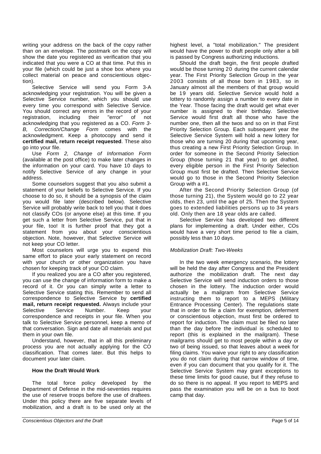writing your address on the back of the copy rather than on an envelope. The postmark on the copy will show the date you registered as verification that you indicated that you were a CO at that time. Put this in your file (which could be just a shoe box where you collect material on peace and conscientious objection).

Selective Service will send you Form 3-A acknowledging your registration. You will be given a Selective Service number, which you should use every time you correspond with Selective Service. You should correct any errors in the record of your registration, including their "error" of not acknowledging that you registered as a CO. Form 3- B, Correction/Change Form comes with the acknowledgment. Keep a photocopy and send it **certified mail, return receipt requested**. These also go into your file.

Use Form 2, Change of Information Form (available at the post office) to make later changes in the information on your card. You have 10 days to notify Selective Service of any change in your address.

Some counselors suggest that you also submit a statement of your beliefs to Selective Service. If you choose to do so, it should be a synopsis of the claim you would file later (described below). Selective Service will probably write back to tell you that it does not classify COs (or anyone else) at this time. If you get such a letter from Selective Service, put that in your file, too! It is further proof that they got a statement from you about your conscientious objection. Note, however, that Selective Service will not keep your CO letter.

Most counselors will urge you to expend this same effort to place your early statement on record with your church or other organization you have chosen for keeping track of your CO claim.

If you realized you are a CO after you registered, you can use the change of information form to make a record of it. Or you can simply write a letter to Selective Service stating this. Remember to send all correspondence to Selective Service by **certified mail, return receipt requested.** Always include your Selective Service Number. Keep your correspondence and receipts in your file. When you talk to Selective Service personnel, keep a memo of that conversation. Sign and date all materials and put them in your own file.

Understand, however, that in all this preliminary process you are not actually applying for the CO classification. That comes later. But this helps to document your later claim.

#### **How the Draft Would Work**

The total force policy developed by the Department of Defense in the mid-seventies requires the use of reserve troops before the use of draftees. Under this policy there are five separate levels of mobilization, and a draft is to be used only at the

highest level, a "total mobilization." The president would have the power to draft people only after a bill is passed by Congress authorizing inductions.

Should the draft begin, the first people drafted would be those turning 20 during the current calendar year. The First Priority Selection Group in the year 2003 consists of all those born in 1983, so in January almost all the members of that group would be 19 years old. Selective Service would hold a lottery to randomly assign a number to every date in the Year. Those facing the draft would get what ever number is assigned to their birthday. Selective Service would first draft all those who have the number one, then all the twos and so on in that First Priority Selection Group. Each subsequent year the Selective Service System will hold a new lottery for those who are turning 20 during that upcoming year, thus creating a new First Priority Selection Group. In order for someone in the Second Priority Selection Group (those turning 21 that year) to get drafted, every eligible person in the First Priority Selection Group must first be drafted. Then Selective Service would go to those in the Second Priority Selection Group with a #1.

After the Second Priority Selection Group (of those turning 21), the System would go to 22 year olds, then 23, until the age of 25. Then the System goes to extended liabilities persons up to 34 years old. Only then are 18 year olds are called.

Selective Service has developed two different plans for implementing a draft. Under either, COs would have a very short time period to file a claim, possibly less than 10 days.

#### Mobilization Draft: Two-Weeks

In the two week emergency scenario, the lottery will be held the day after Congress and the President authorize the mobilization draft. The next day Selective Service will send induction orders to those chosen in the lottery. The induction order would actually be a mailgram from Selective Service instructing them to report to a MEPS (Military Entrance Processing Center). The regulations state that in order to file a claim for exemption, deferment or conscientious objection, must first be ordered to report for induction. The claim must be filed no later than the day before the individual is scheduled to report (this is explained in the mailgram). These mailgrams should get to most people within a day or two of being issued, so that leaves about a week for filing claims. You waive your right to any classification you do not claim during that narrow window of time, even if you can document that you qualify for it. The Selective Service System may grant exceptions to these time limits for good cause, but if they refuse to do so there is no appeal. If you report to MEPS and pass the examination you will be on a bus to boot camp that day.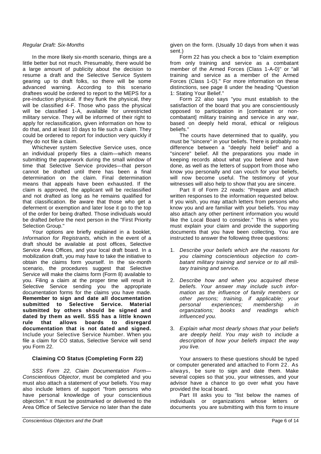#### Regular Draft: Six-Months

In the more likely six-month scenario, things are a little better but not much. Presumably, there would be a large amount of publicity about the decision to resume a draft and the Selective Service System gearing up to draft folks, so there will be some advanced warning. According to this scenario draftees would be ordered to report to the MEPS for a pre-induction physical. If they flunk the physical, they will be classified 4-F. Those who pass the physical will be classified 1-A, available for unrestricted military service. They will be informed of their right to apply for reclassification, given information on how to do that, and at least 10 days to file such a claim. They could be ordered to report for induction very quickly if they do not file a claim.

Whichever system Selective Service uses, once an individual properly files a claim—which means submitting the paperwork during the small window of time that Selective Service provides—that person cannot be drafted until there has been a final determination on the claim. Final determination means that appeals have been exhausted. If the claim is approved, the applicant will be reclassified and not drafted as long as he remains qualified for that classification. Be aware that those who get a deferment or exemption and later lose it go to the top of the order for being drafted. Those individuals would be drafted before the next person in the "First Priority Selection Group."

Your options are briefly explained in a booklet, Information for Registrants, which in the event of a draft should be available at post offices, Selective Service Area Offices, and your local draft board. In a mobilization draft, you may have to take the initiative to obtain the claims form yourself. In the six-month scenario, the procedures suggest that Selective Service will make the claims form (Form 8) available to you. Filing a claim at the proper time will result in Selective Service sending you the appropriate documentation forms for the claims you have made. **Remember to sign and date all documentation submitted to Selective Service. Material submitted by others should be signed and dated by them as well. SSS has a little known rule that allows boards to disregard documentation that is not dated and signed.** Include your Selective Service Number. When you file a claim for CO status, Selective Service will send you Form 22.

### **Claiming CO Status (Completing Form 22)**

SSS Form 22, Claim Documentation Form— Conscientious Objector, must be completed and you must also attach a statement of your beliefs. You may also include letters of support "from persons who have personal knowledge of your conscientious objection." It must be postmarked or delivered to the Area Office of Selective Service no later than the date

given on the form. (Usually 10 days from when it was sent.)

Form 22 has you check a box to "claim exemption from only training and service as a combatant member of the Armed Forces (Class 1-A-0)" or "all training and service as a member of the Armed Forces (Class 1-O)." For more information on these distinctions, see page 8 under the heading "Question 1: Stating Your Belief."

Form 22 also says "you must establish to the satisfaction of the board that you are conscientiously opposed to participation in [combatant or noncombatant] military training and service in any war, based on deeply held moral, ethical or religious beliefs."

The courts have determined that to qualify, you must be "sincere" in your beliefs. There is probably no difference between a "deeply held belief" and a "sincere" belief. All the preparations you made in keeping records about what you believe and have done, as well as the letters of support from those who know you personally and can vouch for your beliefs, will now become useful. The testimony of your witnesses will also help to show that you are sincere.

Part II of Form 22 reads: "Prepare and attach written responses to the information requested below. If you wish, you may attach letters from persons who know you and are familiar with your beliefs. You may also attach any other pertinent information you would like the Local Board to consider." This is when you must explain your claim and provide the supporting documents that you have been collecting. You are instructed to answer the following three questions:

- 1. Describe your beliefs which are the reasons for you claiming conscientious objection to combatant military training and service or to all military training and service.
- 2. Describe how and when you acquired these beliefs. Your answer may include such information as the influence of family members or other persons; training, if applicable; your<br>personal experiences: membership in experiences; membership in organizations; books and readings which influenced you.
- 3. Explain what most dearly shows that your beliefs are deeply held. You may wish to include a description of how your beliefs impact the way you live.

Your answers to these questions should be typed or computer generated and attached to Form 22. As always, be sure to sign and date them. Make several copies so that you, your witnesses, and your advisor have a chance to go over what you have provided the local board.

Part III asks you to "list below the names of individuals or organizations whose letters or documents you are submitting with this form to insure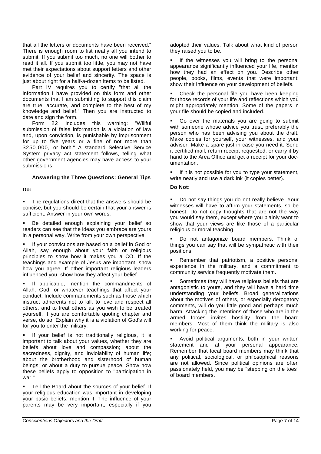that all the letters or documents have been received." There is enough room to list neatly all you intend to submit. If you submit too much, no one will bother to read it all. If you submit too little, you may not have met their expectations about support letters and other evidence of your belief and sincerity. The space is just about right for a half-a-dozen items to be listed.

Part IV requires you to certify "that all the information I have provided on this form and other documents that I am submitting to support this claim are true, accurate, and complete to the best of my knowledge and belief." Then you are instructed to date and sign the form.

Form 22 includes this warning: "Willful submission of false information is a violation of law and, upon conviction, is punishable by imprisonment for up to five years or a fine of not more than \$250,000, or both." A standard Selective Service System privacy act statement follows, telling what other government agencies may have access to your submissions.

#### **Answering the Three Questions: General Tips**

#### **Do:**

• The regulations direct that the answers should be concise, but you should be certain that your answer is sufficient. Answer in your own words.

 Be detailed enough explaining your belief so readers can see that the ideas you embrace are yours in a personal way. Write from your own perspective.

 If your convictions are based on a belief in God or Allah, say enough about your faith or religious principles to show how it makes you a CO. If the teachings and example of Jesus are important, show how you agree. If other important religious leaders influenced you, show how they affect your belief.

 If applicable, mention the commandments of Allah, God, or whatever teachings that affect your conduct. Include commandments such as those which instruct adherents not to kill, to love and respect all others, and to treat others as you wish to be treated yourself. If you are comfortable quoting chapter and verse, do so. Explain why it is a violation of God's will for you to enter the military.

**If your belief is not traditionally religious, it is** important to talk about your values, whether they are beliefs about love and compassion; about the sacredness, dignity, and inviolability of human life; about the brotherhood and sisterhood of human beings; or about a duty to pursue peace. Show how these beliefs apply to opposition to "participation in war."

 Tell the Board about the sources of your belief. If your religious education was important in developing your basic beliefs, mention it. The influence of your parents may be very important, especially if you

adopted their values. Talk about what kind of person they raised you to be.

 If the witnesses you will bring to the personal appearance significantly influenced your life, mention how they had an effect on you. Describe other people, books, films, events that were important; show their influence on your development of beliefs.

 Check the personal file you have been keeping for those records of your life and reflections which you might appropriately mention. Some of the papers in your file should be copied and included.

 Go over the materials you are going to submit with someone whose advice you trust, preferably the person who has been advising you about the draft. Make copies for yourself, your witnesses, and your advisor. Make a spare just in case you need it. Send it certified mail, return receipt requested, or carry it by hand to the Area Office and get a receipt for your documentation.

 If it is not possible for you to type your statement, write neatly and use a dark ink (it copies better).

#### **Do Not:**

 Do not say things you do not really believe. Your witnesses will have to affirm your statements, so be honest. Do not copy thoughts that are not the way you would say them, except where you plainly want to show that your views are like those of a particular religious or moral teaching.

 Do not antagonize board members. Think of things you can say that will be sympathetic with their positions.

 Remember that patriotism, a positive personal experience in the military, and a commitment to community service frequently motivate them.

 Sometimes they will have religious beliefs that are antagonistic to yours, and they will have a hard time understanding your beliefs. Broad generalizations about the motives of others, or especially derogatory comments, will do you little good and perhaps much harm. Attacking the intentions of those who are in the armed forces invites hostility from the board members. Most of them think the military is also working for peace.

 Avoid political arguments, both in your written statement and at your personal appearance. Remember that local board members may think that any political, sociological, or philosophical reasons are not allowed. Since political opinions are often passionately held, you may be "stepping on the toes" of board members.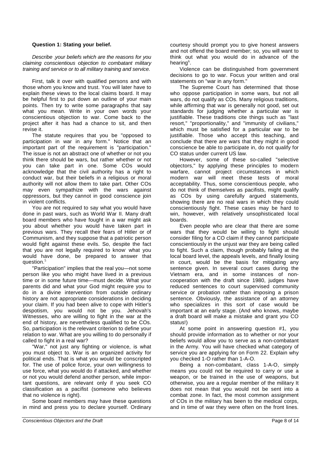#### **Question 1: Stating your belief.**

Describe -your beliefs which are the reasons for you claiming conscientious objection to combatant military training and service or to all military training and service.

First, talk it over with qualified persons and with those whom you know and trust. You will later have to explain these views to the local claims board. It may be helpful first to put down an outline of your main points. Then try to write some paragraphs that say what you mean. Write in your own words your conscientious objection to war. Come back to the project after it has had a chance to sit, and then revise it.

The statute requires that you be "opposed to participation in war in any form." Notice that an important part of the requirement is "participation." The issue is not an abstract one of whether or not you think there should be wars, but rather whether or not you can take part in one. Some COs would acknowledge that the civil authority has a right to conduct war, but their beliefs in a religious or moral authority will not allow them to take part. Other COs may even sympathize with the wars against oppressors, but they cannot in good conscience join in violent conflicts.

You are not required to say what you would have done in past wars, such as World War II. Many draft board members who have fought in a war might ask you about whether you would have taken part in previous wars. They recall their fears of Hitler or of Communism, and they suppose that a patriotic person would fight against these evils. So, despite the fact that you are not legally required to know what you would have done, be prepared to answer that question. $^5\,$ 

"Participation" implies that the real you—not some person like you who might have lived in a previous time or in some future time—must decide. What your parents did and what your God might require you to do in a divine intervention from outside ordinary history are not appropriate considerations in deciding your claim. If you had been alive to cope with Hitler's despotism, you would not be you. Jehovah's Witnesses, who are willing to fight in the war at the end of history, are nevertheless qualified to be COs. So, participation is the relevant criterion to define your relation to war. What are you willing to do personally if called to fight in a real war?

"War." not just any fighting or violence, is what you must object to. War is an organized activity for political ends. That is what you would be conscripted for. The use of police force, your own willingness to use force, what you would do if attacked, and whether or not you would defend another person, while important questions, are relevant only if you seek CO classification as a pacifist (someone who believes that no violence is right).

Some board members may have these questions in mind and press you to declare yourself. Ordinary

courtesy should prompt you to give honest answers and not offend the board member; so, you will want to think out what you would do in advance of the hearing $^6$ .

Violence can be distinguished from government decisions to go to war. Focus your written and oral statements on "war in any form."

The Supreme Court has determined that those who oppose participation in some wars, but not all wars, do not qualify as COs. Many religious traditions, while affirming that war is generally not good, set out standards for judging whether a particular war is justifiable. These traditions cite things such as "last resort," "proportionality," and "immunity of civilians," which must be satisfied for a particular war to be justifiable. Those who accept this teaching, and conclude that there are wars that they might in good conscience be able to participate in, do not qualify for CO status under current US law.

However, some of these so-called "selective objectors," by applying these principles to modern warfare, cannot project circumstances in which modern war will meet these tests of moral acceptability. Thus, some conscientious people, who do not think of themselves as pacifists, might qualify as COs by using carefully argued statements, showing there are no real wars in which they could conscientiously fight. These cases may be hard to win, however, with relatively unsophisticated local boards.

Even people who are clear that there are some wars that they would be willing to fight should consider filing for a CO claim if they cannot participate conscientiously in the unjust war they are being called to fight. Such a claim, though probably failing at the local board level, the appeals levels, and finally losing in court, would be the basis for mitigating any sentence given. In several court cases during the Vietnam era, and in some instances of noncooperation with the draft since 1980, judges have reduced sentences to court supervised community service or probation rather than imposing a prison sentence. Obviously, the assistance of an attorney who specializes in this sort of case would be important at an early stage. (And who knows, maybe a draft board will make a mistake and grant you CO status!)

At some point in answering question #1, you should provide information as to whether or nor your beliefs would allow you to serve as a non-combatant in the Army. You will have checked what category of service you are applying for on Form 22. Explain why you checked 1-O rather than 1-A-O.

Being a non-combatant, class 1-A-O, simply means you could not be required to carry or use a weapon, or be trained in the use of weapons, but otherwise, you are a regular member of the military It does not mean that you would not be sent into a combat zone. In fact, the most common assignment of COs in the military has been to the medical corps, and in time of war they were often on the front lines.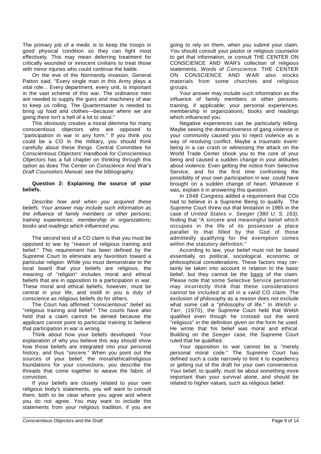The primary job of a medic is to keep the troops in good physical condition so they can fight most effectively. This may mean deferring treatment for critically wounded or innocent civilians to treat those with minor injuries who could continue the battle.

On the eve of the Normandy invasion, General Patton said, "Every single man in this Army plays a vital role... Every department, every unit, is important in the vast scheme of this war. The ordinance men are needed to supply the guns and machinery of war to keep us rolling. The Quartermaster is needed to bring up food and clothes—because where we are going there isn't a hell of a lot to steal."

This obviously creates a moral dilemma for many conscientious objectors who are opposed to "participation in war in any form." If you think you could be a CO in the military, you should think carefully about these things. Central Committee for Conscientious Objectors' Handbook for Conscientious Objectors has a full chapter on thinking through this option as does The Center on Conscience And War's Draft Counselors Manual; see the bibliography.

#### **Question 2: Explaining the source of your beliefs.**

Describe how and when you acquired these beliefs. Your answer may include such information as the influence of family members or other persons; training experiences; membership in organizations; books and readings which influenced you.

The second test of a CO claim is that you must be opposed to war by "reason of religious training and belief." This requirement has been defined by the Supreme Court to eliminate any favoritism toward a particular religion. While you must demonstrate to the local board that your beliefs are religious, the meaning of "religion" includes moral and ethical beliefs that are in opposition to a participation in war. These moral and ethical beliefs, however, must be central in your life, and instill in you a duty of conscience as religious beliefs do for others.

The Court has affirmed "conscientious" belief as "religious training and belief." The courts have also held that a claim cannot be denied because the applicant cannot point to particular training to believe that participation in war is wrong.

Think about how your beliefs developed. Your explanation of why you believe this way should show how those beliefs are integrated into your personal history, and thus "sincere." When you point out the sources of your belief, the moral/ethical/religious foundations for your convictions, you describe the threads that come together to weave the fabric of conviction.

If your beliefs are closely related to your own religious body's statements, you will want to consult them, both to be clear where you agree and where you do not agree. You may want to include the statements from your religious tradition, if you are

going to rely on them, when you submit your claim. You should consult your pastor or religious counselor to get that information, or consult THE CENTER ON CONSCIENCE AND WAR's collection of religious statements, Words of Conscience. THE CENTER ON CONSCIENCE AND WAR also stocks materials from some churches and religious groups.

Your answer may include such information as the influence of family members or other persons; training, if applicable; your personal experiences; membership in organizations; books and readings which influenced you.

Negative experiences can be particularly telling. Maybe seeing the destructiveness of gang violence in your community caused you to reject violence as a way of resolving conflict. Maybe a traumatic eventbeing in a car crash or witnessing the attack on the World Trade Center shook you to the core of your being and caused a sudden change in your attitudes about violence. Even getting the notice from Selective Service, and for the first time confronting the possibility of your own participation in war, could have brought on a sudden change of heart. Whatever it was, explain it in answering this question.

In 1948 Congress added a requirement that COs had to believe in a Supreme Being to qualify. The Supreme Court threw out that limitation in 1965 in the case of United States v. Seeger (380 U. S. 163), finding that "A sincere and meaningful belief which occupies in the life of its possessor a place parallel to that filled by the God of those admittedly qualifying for the exemption comes within the statutory definition."

According to law, your belief must not be based essentially on political, sociological, economic or philosophical considerations. These factors may certainly be taken into account in relation to the basic belief, but they cannot be the basis of the claim. Please note that some Selective Service personnel may incorrectly think that these considerations cannot be included at all in a valid CO claim. The exclusion of philosophy as a reason does not exclude what some call a "philosophy of life." In Welsh v. Tarr, (1970), the Supreme Court held that Welsh qualified even though he crossed out the word "religious" in the definition given on the form he used. He wrote that his belief was moral and ethical. Building on the Seeger case, the Supreme Court ruled that he qualified.

Your opposition to war cannot be a "merely personal moral code." The Supreme Court has defined such a code narrowly to limit it to expediency or getting out of the draft for your own convenience. Your belief, to qualify, must be about something more important than your survival alone, and should be related to higher values, such as religious belief.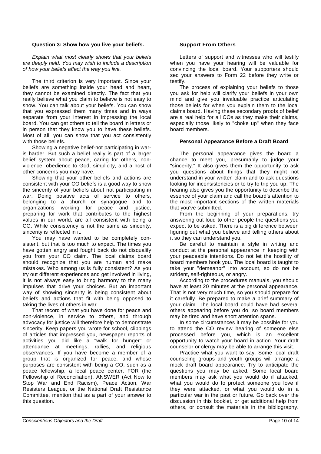#### **Question 3: Show how you live your beliefs.**

Explain what most clearly shows that your beliefs are deeply held. You may wish to include a description of how your beliefs affect the way you live.

The third criterion is very important. Since your beliefs are something inside your head and heart, they cannot be examined directly. The fact that you really believe what you claim to believe is not easy to show. You can talk about your beliefs. You can show that you expressed them many times and in ways separate from your interest in impressing the local board. You can get others to tell the board in letters or in person that they know you to have these beliefs. Most of all, you can show that you act consistently with those beliefs.

Showing a negative belief-not participating in waris harder. But such a belief really is part of a larger belief system about peace, caring for others, nonviolence, obedience to God, simplicity, and a host of other concerns you may have.

Showing that your other beliefs and actions are consistent with your CO beliefs is a good way to show the sincerity of your beliefs about not participating in war. Doing positive acts of service to others, belonging to a church or synagogue and to organizations working for peace and justice, preparing for work that contributes to the highest values in our world, are all consistent with being a CO. While consistency is not the same as sincerity, sincerity is reflected in it.

You may have wanted to be completely consistent, but that is too much to expect. The times you have gotten angry and fought back do not disqualify you from your CO claim. The local claims board should recognize that you are human and make mistakes. Who among us is fully consistent? As you try out different experiences and get involved in living, it is not always easy to bring harmony to the many impulses that drive your choices. But an important way of showing sincerity is being consistent about beliefs and actions that fit with being opposed to taking the lives of others in war.

That record of what you have done for peace and non-violence, in service to others, and through advocacy for justice will therefore help to demonstrate sincerity. Keep papers you wrote for school, clippings of articles that impressed you, newspaper reports of activities you did like a "walk for hunger" or attendance at meetings, rallies, and religious observances. If you have become a member of a group that is organized for peace, and whose purposes are consistent with being a CO, such as a peace fellowship, a local peace center, FOR (the Fellowship of Reconciliation), ANSWER (Act Now to Stop War and End Racism), Peace Action, War Resisters League, or the National Draft Resistance Committee, mention that as a part of your answer to this question.

#### **Support From Others**

Letters of support and witnesses who will testify when you have your hearing will be valuable for convincing the local board. Your supporters should sec your answers to Form 22 before they write or testify.

The process of explaining your beliefs to those you ask for help will clarify your beliefs in your own mind and give you invaluable practice articulating those beliefs for when you explain them to the local claims board. Having these secondary proofs of belief are a real help for all COs as they make their claims, especially those likely to "choke up" when they face board members.

#### **Personal Appearance Before a Draft Board**

The personal appearance gives the board a chance to meet you, presumably to judge your "sincerity." It also gives them the opportunity to ask you questions about things that they might not understand in your written claim and to ask questions looking for inconsistencies or to try to trip you up. The hearing also gives you the opportunity to describe the essence of your claim and call the board's attention to the most important sections of the written materials that you've submitted.

From the beginning of your preparations, try answering out loud to other people the questions you expect to be asked. There is a big difference between figuring out what you believe and telling others about it so they can understand you.

Be careful to maintain a style in writing and conduct at the personal appearance in keeping with your peaceable intentions. Do not let the hostility of board members hook you. The local board is taught to take your "demeanor" into account, so do not be strident, self-righteous, or angry.

According to the procedures manuals, you should have at least 20 minutes at the personal appearance. That is not very much time, so you should prepare for it carefully. Be prepared to make a brief summary of your claim. The local board could have had several others appearing before you do, so board members may be tired and have short attention spans.

In some circumstances it may be possible for you to attend the CO review hearing of someone else processed before you, which is an excellent opportunity to watch your board in action. Your draft counselor or clergy may be able to arrange this visit.

Practice what you want to say. Some local draft counseling groups and youth groups will arrange a mock draft board appearance. Try to anticipate the questions you may be asked. Some local board members may ask what you would do if attacked, what you would do to protect someone you love if they were attacked, or what you would do in a particular war in the past or future. Go back over the discussion in this booklet, or get additional help from others, or consult the materials in the bibliography.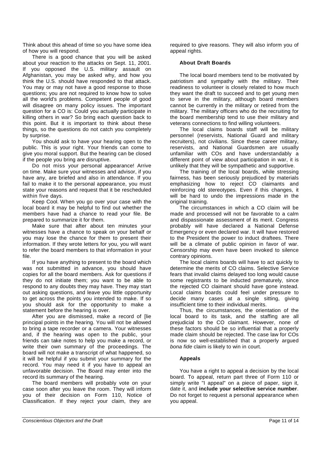Think about this ahead of time so you have some idea of how you will respond.

There is a good chance that you will be asked about your reaction to the attacks on Sept. 11, 2001. If you opposed the U.S. military assault on Afghanistan, you may be asked why, and how you think the U.S. should have responded to that attack. You may or may not have a good response to those questions; you are not required to know how to solve all the world's problems. Competent people of good will disagree on many policy issues. The important question for a CO is: Could you actually participate in killing others in war? So bring each question back to this point. But it is important to think about these things, so the questions do not catch you completely by surprise.

You should ask to have your hearing open to the public. This is your right. Your friends can come to give you moral support. But the hearing can be closed if the people you bring are disruptive.

Do not miss your personal appearance! Arrive on time. Make sure your witnesses and advisor, if you have any, are briefed and also in attendance. If you fail to make it to the personal appearance, you must state your reasons and request that it be rescheduled within five days.

Keep Cool. When you go over your case with the local board it may be helpful to find out whether the members have had a chance to read your file. Be prepared to summarize it for them.

Make sure that after about ten minutes your witnesses have a chance to speak on your behalf or you may lose the chance for them to present their information. If they wrote letters for you, you will want to refer the board members to that information in your file.

If you have anything to present to the board which was not submitted in advance, you should have copies for all the board members. Ask for questions if they do not initiate them; you want to be able to respond to any doubts they may have. They may start out asking questions, and leave you little opportunity to get across the points you intended to make. If so you should ask for the opportunity to make a statement before the hearing is over.

After you are dismissed, make a record of [lie principal points in the hearing. You will not be allowed to bring a tape recorder or a camera. Your witnesses and, if the hearing was open to the public, your friends can take notes to help you make a record, or write their own summary of the proceedings. The board will not make a transcript of what happened, so it will be helpful if you submit your summary for the record. You may need it if you have to appeal an unfavorable decision. The Board may enter into the record its summary of the hearing.

The board members will probably vote on your case soon after you leave the room. They will inform you of their decision on Form 110, Notice of Classification. If they reject your claim, they are

required to give reasons. They will also inform you of appeal rights.

#### **About Draft Boards**

The local board members tend to be motivated by patriotism and sympathy with the military. Their readiness to volunteer is closely related to how much they want the draft to succeed and to get young men to serve in the military, although board members cannot be currently in the military or retired from the military. The military officers who do the recruiting for the board membership tend to use their military and veterans connections to find willing volunteers.

The local claims boards staff will be military personnel (reservists, National Guard and military recruiters), not civilians. Since these career military, reservists, and National Guardsmen are usually unfamiliar with COs and have understandably a different point of view about participation in war, it is unlikely that they will be sympathetic and supportive.

The training of the local boards, while stressing fairness, has been seriously prejudiced by materials emphasizing how to reject CO claimants and reinforcing old stereotypes. Even if this changes, it will be hard to undo the impressions made in the original training.

The circumstances in which a CO claim will be made and processed will not be favorable to a calm and dispassionate assessment of its merit. Congress probably will have declared a National Defense Emergency or even declared war. It will have restored to the President the power to induct draftees. There will be a climate of public opinion in favor of war. Censorship may even have been invoked to silence contrary opinions.

The local claims boards will have to act quickly to determine the merits of CO claims. Selective Service fears that invalid claims delayed too long would cause some registrants to be inducted prematurely, since the rejected CO claimant should have gone instead. Local claims boards could feel under pressure to decide many cases at a single sitting, giving insufficient time to their individual merits.

Thus, the circumstances, the orientation of the local board to its task, and the staffing are all prejudicial to the CO claimant. However, none of these factors should be so influential that a properly made claim should be rejected. The case law for COs is now so well-established that a properly argued bona fide claim is likely to win in court.

#### **Appeals**

You have a right to appeal a decision by the local board. To appeal, return part three of Form 110 or simply write "I appeal" on a piece of paper, sign it, date it, and **include your selective service number**. Do not forget to request a personal appearance when you appeal.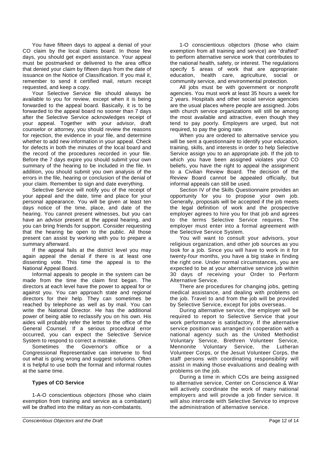You have fifteen days to appeal a denial of your CO claim by the local claims board. In those few days, you should get expert assistance. Your appeal must be postmarked or delivered to the area office that denied your claim by fifteen days from the date of issuance on the Notice of Classification. If you mail it, remember to send it certified mail, return receipt requested, and keep a copy.

Your Selective Service file should always be available to you for review, except when it is being forwarded to the appeal board. Basically, it is to be forwarded to the appeal board no sooner than 7 days after the Selective Service acknowledges receipt of your appeal. Together with your advisor, draft counselor or attorney, you should review the reasons for rejection, the evidence in your file, and determine whether to add new information in your appeal. Check for defects in both the minutes of the local board and the record of the procedures recorded in your file. Before the 7 days expire you should submit your own summary of the hearing to be included in the file. In addition, you should submit you own analysis of the errors in the file, hearing or conclusion of the denial of your claim. Remember to sign and date everything.

Selective Service will notify you of the receipt of your appeal and the date, time and place for your personal appearance. You will be given at least ten days notice of the time, place, and date of the hearing. You cannot present witnesses, but you can have an advisor present at the appeal hearing, and you can bring friends for support. Consider requesting that the hearing be open to the public. All those present can assist by working with you to prepare a summary afterward.

If the appeal fails at the district level you may again appeal the denial if there is at least one dissenting vote. This time the appeal is to the National Appeal Board.

Informal appeals to people in the system can be made from the time the claim first began. The directors at each level have the power to appeal for or against you. You can approach state and regional directors for their help. They can sometimes be reached by telephone as well as by mail. You can write the National Director. He has the additional power of being able to reclassify you on his own. His aides will probably refer the letter to the office of the General Counsel. If a serious procedural error occurred, you can expect the Selective Service System to respond to correct a mistake.

Sometimes the Governor's office or a Congressional Representative can intervene to find out what is going wrong and suggest solutions. Often it is helpful to use both the formal and informal routes at the same time.

#### **Types of CO Service**

1-A-O conscientious objectors (those who claim exemption from training and service as a combatant) will be drafted into the military as non-combatants.

All jobs must be with government or nonprofit agencies. You must work at least 35 hours a week for 2 years. Hospitals and other social service agencies are the usual places where people are assigned. Jobs with church service organizations will still be among the most available and attractive, even though they tend to pay poorly. Employers are urged, but not required, to pay the going rate.

When you are ordered to alternative service you will be sent a questionnaire to identify your education, training, skills, and interests in order to help Selective Service assign you to an appropriate job. If the job to which you have been assigned violates your CO beliefs, you have the right to appeal the assignment to a Civilian Review Board. The decision of the Review Board cannot be appealed officially, but informal appeals can still be used.

Section IV of the Skills Questionnaire provides an opportunity for you to propose your own job. Generally, proposals will be accepted if the job meets the legal definition of work and the prospective employer agrees to hire you for that job and agrees to the terms Selective Service requires. The employer must enter into a formal agreement with the Selective Service System.

You will want to consult your advisors, your religious organization, and other job sources as you look for a job. Since you will have to work in it for twenty-four months, you have a big stake in finding the right one. Under normal circumstances, you are expected to be at your alternative service job within 30 days of receiving your Order to Perform Alternative Service.

There are procedures for changing jobs, getting medical assistance, and dealing with problems on the job. Travel to and from the job will be provided by Selective Service, except for jobs overseas.

During alternative service, the employer will be required to report to Selective Service that your work performance is satisfactory. If the alternative service position was arranged in cooperation with a national agency such as the United Methodist Voluntary Service, Brethren Volunteer Service, Mennonite Voluntary Service, the Lutheran Volunteer Corps, or the Jesuit Volunteer Corps, the staff persons with coordinating responsibility will assist in making those evaluations and dealing with problems on the job.

During a time in which COs are being assigned to alternative service, Center on Conscience & War will actively coordinate the work of many national employers and will provide a job finder service. It will also intercede with Selective Service to improve the administration of alternative service.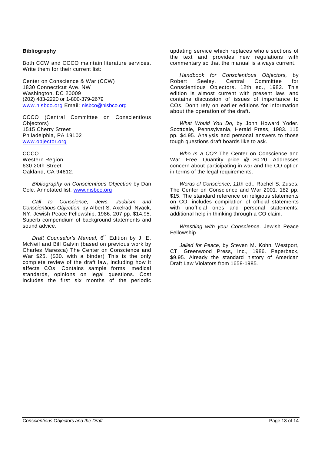#### **Bibliography**

Both CCW and CCCO maintain literature services. Write them for their current list:

Center on Conscience & War (CCW) 1830 Connecticut Ave. NW Washington, DC 20009 (202) 483-2220 or 1-800-379-2679 www.nisbco.org Email: nisbco@nisbco.org

CCCO (Central Committee on Conscientious Objectors) 1515 Cherry Street Philadelphia, PA 19102 www.objector.org

CCCO Western Region 630 20th Street Oakland, CA 94612.

Bibliography on Conscientious Objection by Dan Cole. Annotated list. www.nisbco.org

Call to Conscience, Jews, Judaism and Conscientious Objection, by Albert S. Axelrad. Nyack, NY, Jewish Peace Fellowship, 1986. 207 pp. \$14.95. Superb compendium of background statements and sound advice.

Draft Counselor's Manual, 6<sup>th</sup> Edition by J. E. McNeil and Bill Galvin (based on previous work by Charles Maresca) The Center on Conscience and War \$25. (\$30. with a binder) This is the only complete review of the draft law, including how it affects COs. Contains sample forms, medical standards, opinions on legal questions. Cost includes the first six months of the periodic

updating service which replaces whole sections of the text and provides new regulations with commentary so that the manual is always current.

Handbook for Conscientious Objectors, by<br>
oert Seelev. Central Committee for Robert Seeley, Central Committee for Conscientious Objectors. 12th ed., 1982. This edition is almost current with present law, and contains discussion of issues of importance to COs. Don't rely on earlier editions for information about the operation of the draft.

What Would You Do, by John Howard Yoder. Scottdale, Pennsylvania, Herald Press, 1983. 115 pp. \$4.95. Analysis and personal answers to those tough questions draft boards like to ask.

Who Is a CO? The Center on Conscience and War. Free. Quantity price @ \$0.20. Addresses concern about participating in war and the CO option in terms of the legal requirements.

Words of Conscience, 11th ed., Rachel S. Zuses. The Center on Conscience and War 2001. 182 pp. \$15. The standard reference on religious statements on CO, includes compilation of official statements with unofficial ones and personal statements; additional help in thinking through a CO claim.

Wrestling with your Conscience. Jewish Peace Fellowship.

Jailed for Peace, by Steven M. Kohn. Westport, CT, Greenwood Press, Inc., 1986. Paperback, \$9.95. Already the standard history of American Draft Law Violators from 1658-1985.